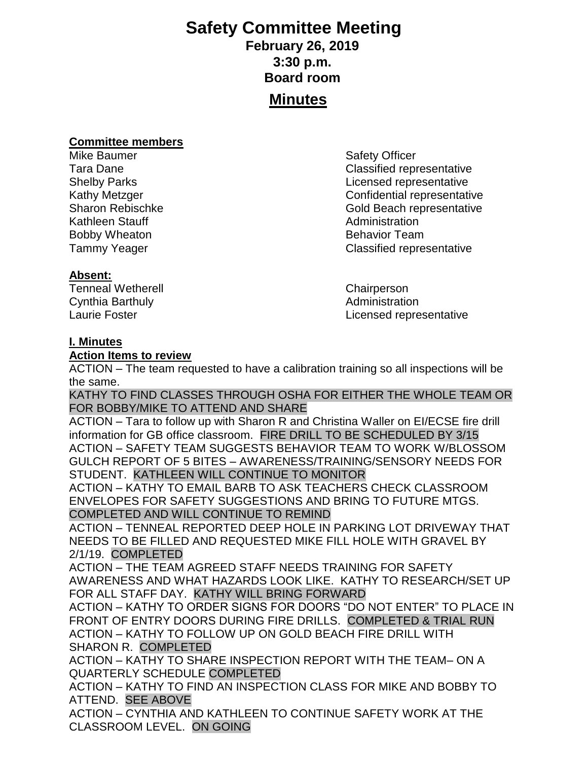# **Safety Committee Meeting**

# **February 26, 2019 3:30 p.m. Board room Minutes**

#### **Committee members**

Mike Baumer **Safety Officer** Safety Officer Kathleen Stauff **Administration** Bobby Wheaton **Bobby Wheaton** Behavior Team

### **Absent:**

Tenneal Wetherell Chairperson Cynthia Barthuly **Administration Administration** 

Tara Dane **Classified** representative Shelby Parks Licensed representative Kathy Metzger **Confidential representative** Sharon Rebischke Gold Beach representative Tammy Yeager **Classified representative** 

Laurie Foster **Laurie Foster Licensed representative** 

### **I. Minutes**

#### **Action Items to review**

ACTION – The team requested to have a calibration training so all inspections will be the same.

KATHY TO FIND CLASSES THROUGH OSHA FOR EITHER THE WHOLE TEAM OR FOR BOBBY/MIKE TO ATTEND AND SHARE

ACTION – Tara to follow up with Sharon R and Christina Waller on EI/ECSE fire drill information for GB office classroom. FIRE DRILL TO BE SCHEDULED BY 3/15 ACTION – SAFETY TEAM SUGGESTS BEHAVIOR TEAM TO WORK W/BLOSSOM GULCH REPORT OF 5 BITES – AWARENESS/TRAINING/SENSORY NEEDS FOR STUDENT. KATHLEEN WILL CONTINUE TO MONITOR

ACTION – KATHY TO EMAIL BARB TO ASK TEACHERS CHECK CLASSROOM ENVELOPES FOR SAFETY SUGGESTIONS AND BRING TO FUTURE MTGS. COMPLETED AND WILL CONTINUE TO REMIND

ACTION – TENNEAL REPORTED DEEP HOLE IN PARKING LOT DRIVEWAY THAT NEEDS TO BE FILLED AND REQUESTED MIKE FILL HOLE WITH GRAVEL BY 2/1/19. COMPLETED

ACTION – THE TEAM AGREED STAFF NEEDS TRAINING FOR SAFETY AWARENESS AND WHAT HAZARDS LOOK LIKE. KATHY TO RESEARCH/SET UP FOR ALL STAFF DAY. KATHY WILL BRING FORWARD

ACTION – KATHY TO ORDER SIGNS FOR DOORS "DO NOT ENTER" TO PLACE IN FRONT OF ENTRY DOORS DURING FIRE DRILLS. COMPLETED & TRIAL RUN ACTION – KATHY TO FOLLOW UP ON GOLD BEACH FIRE DRILL WITH SHARON R. COMPLETED

ACTION – KATHY TO SHARE INSPECTION REPORT WITH THE TEAM– ON A QUARTERLY SCHEDULE COMPLETED

ACTION – KATHY TO FIND AN INSPECTION CLASS FOR MIKE AND BOBBY TO ATTEND. SEE ABOVE

ACTION – CYNTHIA AND KATHLEEN TO CONTINUE SAFETY WORK AT THE CLASSROOM LEVEL. ON GOING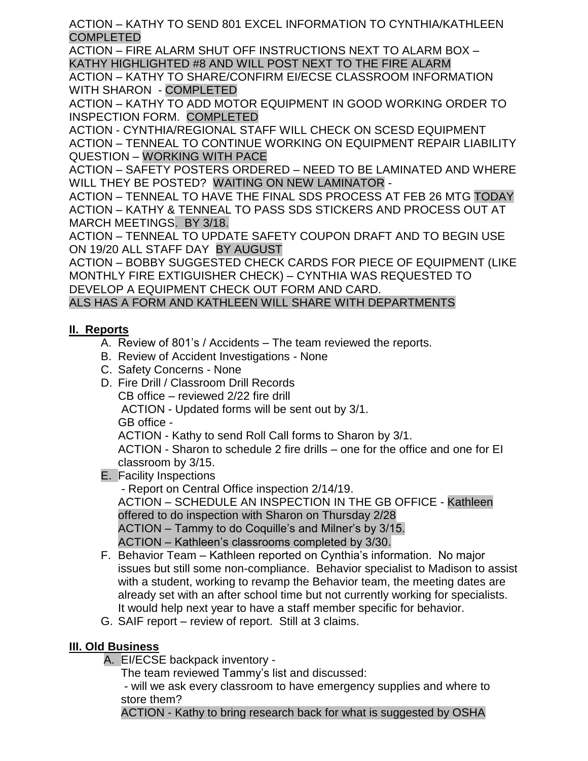ACTION – KATHY TO SEND 801 EXCEL INFORMATION TO CYNTHIA/KATHLEEN COMPLETED

ACTION – FIRE ALARM SHUT OFF INSTRUCTIONS NEXT TO ALARM BOX – KATHY HIGHLIGHTED #8 AND WILL POST NEXT TO THE FIRE ALARM

ACTION – KATHY TO SHARE/CONFIRM EI/ECSE CLASSROOM INFORMATION WITH SHARON - COMPLETED

ACTION – KATHY TO ADD MOTOR EQUIPMENT IN GOOD WORKING ORDER TO INSPECTION FORM. COMPLETED

ACTION - CYNTHIA/REGIONAL STAFF WILL CHECK ON SCESD EQUIPMENT ACTION – TENNEAL TO CONTINUE WORKING ON EQUIPMENT REPAIR LIABILITY QUESTION – WORKING WITH PACE

ACTION – SAFETY POSTERS ORDERED – NEED TO BE LAMINATED AND WHERE WILL THEY BE POSTED? WAITING ON NEW LAMINATOR -

ACTION – TENNEAL TO HAVE THE FINAL SDS PROCESS AT FEB 26 MTG TODAY ACTION – KATHY & TENNEAL TO PASS SDS STICKERS AND PROCESS OUT AT MARCH MEETINGS. BY 3/18.

ACTION – TENNEAL TO UPDATE SAFETY COUPON DRAFT AND TO BEGIN USE ON 19/20 ALL STAFF DAY BY AUGUST

ACTION – BOBBY SUGGESTED CHECK CARDS FOR PIECE OF EQUIPMENT (LIKE MONTHLY FIRE EXTIGUISHER CHECK) – CYNTHIA WAS REQUESTED TO DEVELOP A EQUIPMENT CHECK OUT FORM AND CARD.

ALS HAS A FORM AND KATHLEEN WILL SHARE WITH DEPARTMENTS

## **II. Reports**

- A. Review of 801's / Accidents The team reviewed the reports.
- B. Review of Accident Investigations None
- C. Safety Concerns None
- D. Fire Drill / Classroom Drill Records CB office – reviewed 2/22 fire drill ACTION - Updated forms will be sent out by 3/1. GB office - ACTION - Kathy to send Roll Call forms to Sharon by 3/1.

ACTION - Sharon to schedule 2 fire drills – one for the office and one for EI classroom by 3/15.

E. Facility Inspections

- Report on Central Office inspection 2/14/19.

ACTION – SCHEDULE AN INSPECTION IN THE GB OFFICE - Kathleen offered to do inspection with Sharon on Thursday 2/28

ACTION – Tammy to do Coquille's and Milner's by 3/15.

ACTION – Kathleen's classrooms completed by 3/30.

- F. Behavior Team Kathleen reported on Cynthia's information. No major issues but still some non-compliance. Behavior specialist to Madison to assist with a student, working to revamp the Behavior team, the meeting dates are already set with an after school time but not currently working for specialists. It would help next year to have a staff member specific for behavior.
- G. SAIF report review of report. Still at 3 claims.

## **III. Old Business**

A. EI/ECSE backpack inventory -

The team reviewed Tammy's list and discussed:

- will we ask every classroom to have emergency supplies and where to store them?

ACTION - Kathy to bring research back for what is suggested by OSHA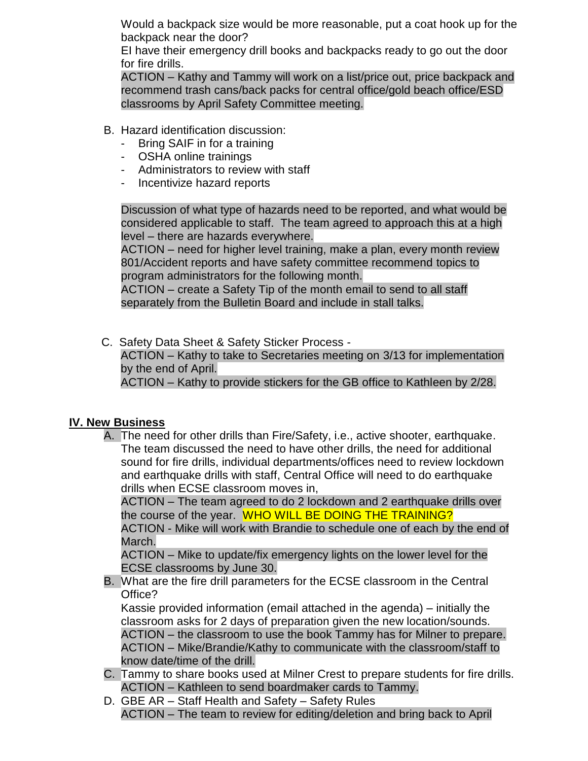Would a backpack size would be more reasonable, put a coat hook up for the backpack near the door?

EI have their emergency drill books and backpacks ready to go out the door for fire drills.

ACTION – Kathy and Tammy will work on a list/price out, price backpack and recommend trash cans/back packs for central office/gold beach office/ESD classrooms by April Safety Committee meeting.

- B. Hazard identification discussion:
	- Bring SAIF in for a training
	- OSHA online trainings
	- Administrators to review with staff
	- Incentivize hazard reports

Discussion of what type of hazards need to be reported, and what would be considered applicable to staff. The team agreed to approach this at a high level – there are hazards everywhere.

ACTION – need for higher level training, make a plan, every month review 801/Accident reports and have safety committee recommend topics to program administrators for the following month.

ACTION – create a Safety Tip of the month email to send to all staff separately from the Bulletin Board and include in stall talks.

C. Safety Data Sheet & Safety Sticker Process -

 ACTION – Kathy to take to Secretaries meeting on 3/13 for implementation by the end of April.

ACTION – Kathy to provide stickers for the GB office to Kathleen by 2/28.

## **IV. New Business**

A. The need for other drills than Fire/Safety, i.e., active shooter, earthquake. The team discussed the need to have other drills, the need for additional sound for fire drills, individual departments/offices need to review lockdown and earthquake drills with staff, Central Office will need to do earthquake drills when ECSE classroom moves in,

ACTION – The team agreed to do 2 lockdown and 2 earthquake drills over the course of the year. WHO WILL BE DOING THE TRAINING?

ACTION - Mike will work with Brandie to schedule one of each by the end of March.

ACTION – Mike to update/fix emergency lights on the lower level for the ECSE classrooms by June 30.

B. What are the fire drill parameters for the ECSE classroom in the Central Office?

Kassie provided information (email attached in the agenda) – initially the classroom asks for 2 days of preparation given the new location/sounds. ACTION – the classroom to use the book Tammy has for Milner to prepare. ACTION – Mike/Brandie/Kathy to communicate with the classroom/staff to know date/time of the drill.

- C. Tammy to share books used at Milner Crest to prepare students for fire drills. ACTION – Kathleen to send boardmaker cards to Tammy.
- D. GBE AR Staff Health and Safety Safety Rules ACTION – The team to review for editing/deletion and bring back to April